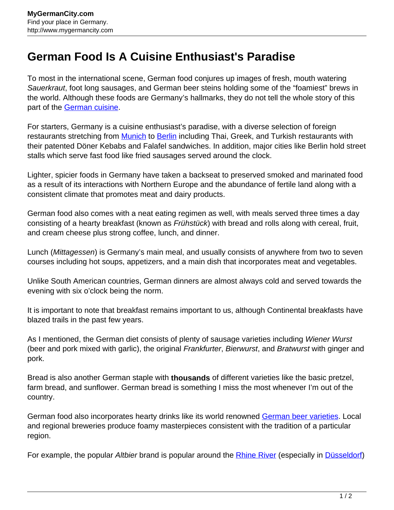## **German Food Is A Cuisine Enthusiast's Paradise**

To most in the international scene, German food conjures up images of fresh, mouth watering Sauerkraut, foot long sausages, and German beer steins holding some of the "foamiest" brews in the world. Although these foods are Germany's hallmarks, they do not tell the whole story of this part of the [German cuisine.](http://www.mygermancity.com/german-cuisine)

For starters, Germany is a cuisine enthusiast's paradise, with a diverse selection of foreign restaurants stretching from **[Munich](http://www.mygermancity.com/munich)** to **Berlin** including Thai, Greek, and Turkish restaurants with their patented Döner Kebabs and Falafel sandwiches. In addition, major cities like Berlin hold street stalls which serve fast food like fried sausages served around the clock.

Lighter, spicier foods in Germany have taken a backseat to preserved smoked and marinated food as a result of its interactions with Northern Europe and the abundance of fertile land along with a consistent climate that promotes meat and dairy products.

German food also comes with a neat eating regimen as well, with meals served three times a day consisting of a hearty breakfast (known as Frühstück) with bread and rolls along with cereal, fruit, and cream cheese plus strong coffee, lunch, and dinner.

Lunch (Mittagessen) is Germany's main meal, and usually consists of anywhere from two to seven courses including hot soups, appetizers, and a main dish that incorporates meat and vegetables.

Unlike South American countries, German dinners are almost always cold and served towards the evening with six o'clock being the norm.

It is important to note that breakfast remains important to us, although Continental breakfasts have blazed trails in the past few years.

As I mentioned, the German diet consists of plenty of sausage varieties including Wiener Wurst (beer and pork mixed with garlic), the original *Frankfurter, Bierwurst*, and *Bratwurst* with ginger and pork.

Bread is also another German staple with **thousands** of different varieties like the basic pretzel, farm bread, and sunflower. German bread is something I miss the most whenever I'm out of the country.

German food also incorporates hearty drinks like its world renowned [German beer varieties](http://www.mygermancity.com/german-beer). Local and regional breweries produce foamy masterpieces consistent with the tradition of a particular region.

For example, the popular Altbier brand is popular around the **[Rhine River](http://www.mygermancity.com/rhine)** (especially in *Düsseldorf*)